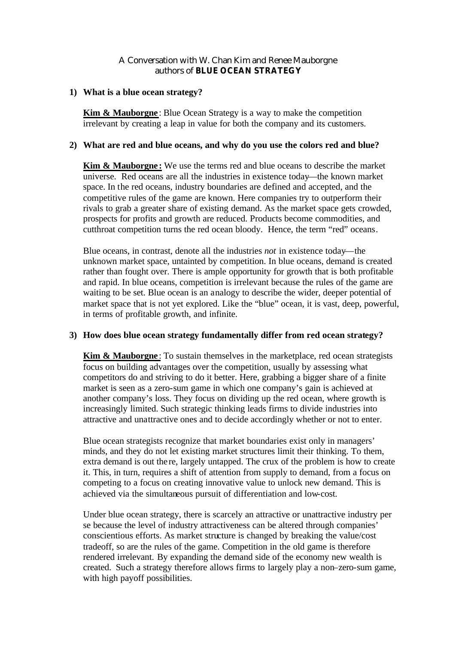# A Conversation with W. Chan Kim and Renee Mauborgne authors of **BLUE OCEAN STRATEGY**

### **1) What is a blue ocean strategy?**

**Kim & Mauborgne**: Blue Ocean Strategy is a way to make the competition irrelevant by creating a leap in value for both the company and its customers.

### **2) What are red and blue oceans, and why do you use the colors red and blue?**

**Kim & Mauborgne:** We use the terms red and blue oceans to describe the market universe. Red oceans are all the industries in existence today—the known market space. In the red oceans, industry boundaries are defined and accepted, and the competitive rules of the game are known. Here companies try to outperform their rivals to grab a greater share of existing demand. As the market space gets crowded, prospects for profits and growth are reduced. Products become commodities, and cutthroat competition turns the red ocean bloody. Hence, the term "red" oceans.

Blue oceans, in contrast, denote all the industries *not* in existence today—the unknown market space, untainted by competition. In blue oceans, demand is created rather than fought over. There is ample opportunity for growth that is both profitable and rapid. In blue oceans, competition is irrelevant because the rules of the game are waiting to be set. Blue ocean is an analogy to describe the wider, deeper potential of market space that is not yet explored. Like the "blue" ocean, it is vast, deep, powerful, in terms of profitable growth, and infinite.

# **3) How does blue ocean strategy fundamentally differ from red ocean strategy?**

**Kim & Mauborgne**: To sustain themselves in the marketplace, red ocean strategists focus on building advantages over the competition, usually by assessing what competitors do and striving to do it better. Here, grabbing a bigger share of a finite market is seen as a zero-sum game in which one company's gain is achieved at another company's loss. They focus on dividing up the red ocean, where growth is increasingly limited. Such strategic thinking leads firms to divide industries into attractive and unattractive ones and to decide accordingly whether or not to enter.

Blue ocean strategists recognize that market boundaries exist only in managers' minds, and they do not let existing market structures limit their thinking. To them, extra demand is out the re, largely untapped. The crux of the problem is how to create it. This, in turn, requires a shift of attention from supply to demand, from a focus on competing to a focus on creating innovative value to unlock new demand. This is achieved via the simultaneous pursuit of differentiation and low-cost.

Under blue ocean strategy, there is scarcely an attractive or unattractive industry per se because the level of industry attractiveness can be altered through companies' conscientious efforts. As market structure is changed by breaking the value/cost tradeoff, so are the rules of the game. Competition in the old game is therefore rendered irrelevant. By expanding the demand side of the economy new wealth is created. Such a strategy therefore allows firms to largely play a non–zero-sum game, with high payoff possibilities.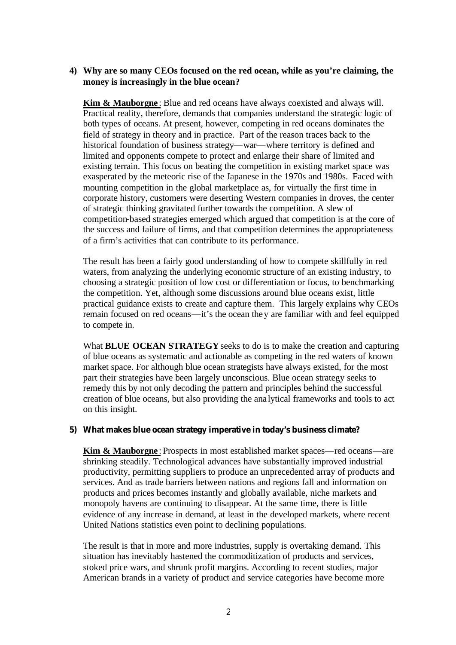# **4) Why are so many CEOs focused on the red ocean, while as you're claiming, the money is increasingly in the blue ocean?**

**Kim & Mauborgne**: Blue and red oceans have always coexisted and always will. Practical reality, therefore, demands that companies understand the strategic logic of both types of oceans. At present, however, competing in red oceans dominates the field of strategy in theory and in practice. Part of the reason traces back to the historical foundation of business strategy—war—where territory is defined and limited and opponents compete to protect and enlarge their share of limited and existing terrain. This focus on beating the competition in existing market space was exasperated by the meteoric rise of the Japanese in the 1970s and 1980s. Faced with mounting competition in the global marketplace as, for virtually the first time in corporate history, customers were deserting Western companies in droves, the center of strategic thinking gravitated further towards the competition. A slew of competition-based strategies emerged which argued that competition is at the core of the success and failure of firms, and that competition determines the appropriateness of a firm's activities that can contribute to its performance.

The result has been a fairly good understanding of how to compete skillfully in red waters, from analyzing the underlying economic structure of an existing industry, to choosing a strategic position of low cost or differentiation or focus, to benchmarking the competition. Yet, although some discussions around blue oceans exist, little practical guidance exists to create and capture them. This largely explains why CEOs remain focused on red oceans—it's the ocean they are familiar with and feel equipped to compete in.

What **BLUE OCEAN STRATEGY** seeks to do is to make the creation and capturing of blue oceans as systematic and actionable as competing in the red waters of known market space. For although blue ocean strategists have always existed, for the most part their strategies have been largely unconscious. Blue ocean strategy seeks to remedy this by not only decoding the pattern and principles behind the successful creation of blue oceans, but also providing the ana lytical frameworks and tools to act on this insight.

# **5) What makes blue ocean strategy imperative in today's business climate?**

**Kim & Mauborgne**: Prospects in most established market spaces—red oceans—are shrinking steadily. Technological advances have substantially improved industrial productivity, permitting suppliers to produce an unprecedented array of products and services. And as trade barriers between nations and regions fall and information on products and prices becomes instantly and globally available, niche markets and monopoly havens are continuing to disappear. At the same time, there is little evidence of any increase in demand, at least in the developed markets, where recent United Nations statistics even point to declining populations.

The result is that in more and more industries, supply is overtaking demand. This situation has inevitably hastened the commoditization of products and services, stoked price wars, and shrunk profit margins. According to recent studies, major American brands in a variety of product and service categories have become more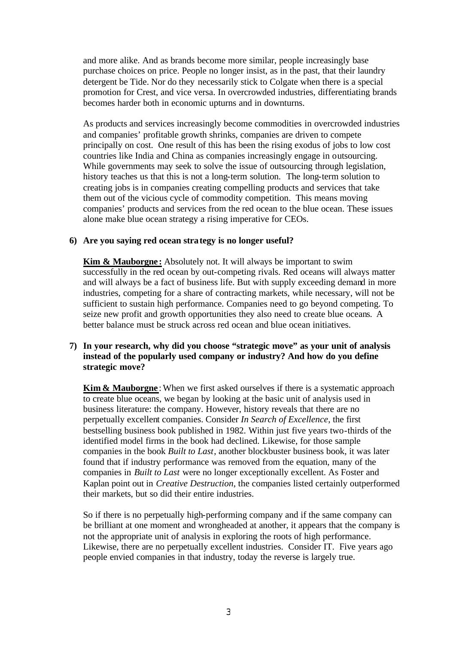and more alike. And as brands become more similar, people increasingly base purchase choices on price. People no longer insist, as in the past, that their laundry detergent be Tide. Nor do they necessarily stick to Colgate when there is a special promotion for Crest, and vice versa. In overcrowded industries, differentiating brands becomes harder both in economic upturns and in downturns.

As products and services increasingly become commodities in overcrowded industries and companies' profitable growth shrinks, companies are driven to compete principally on cost. One result of this has been the rising exodus of jobs to low cost countries like India and China as companies increasingly engage in outsourcing. While governments may seek to solve the issue of outsourcing through legislation, history teaches us that this is not a long-term solution. The long-term solution to creating jobs is in companies creating compelling products and services that take them out of the vicious cycle of commodity competition. This means moving companies' products and services from the red ocean to the blue ocean. These issues alone make blue ocean strategy a rising imperative for CEOs.

### **6) Are you saying red ocean strategy is no longer useful?**

**Kim & Mauborgne:** Absolutely not. It will always be important to swim successfully in the red ocean by out-competing rivals. Red oceans will always matter and will always be a fact of business life. But with supply exceeding demand in more industries, competing for a share of contracting markets, while necessary, will not be sufficient to sustain high performance. Companies need to go beyond competing. To seize new profit and growth opportunities they also need to create blue oceans. A better balance must be struck across red ocean and blue ocean initiatives.

# **7) In your research, why did you choose "strategic move" as your unit of analysis instead of the popularly used company or industry? And how do you define strategic move?**

**Kim & Mauborgne**: When we first asked ourselves if there is a systematic approach to create blue oceans, we began by looking at the basic unit of analysis used in business literature: the company. However, history reveals that there are no perpetually excellent companies. Consider *In Search of Excellence*, the first bestselling business book published in 1982. Within just five years two-thirds of the identified model firms in the book had declined. Likewise, for those sample companies in the book *Built to Last*, another blockbuster business book, it was later found that if industry performance was removed from the equation, many of the companies in *Built to Last* were no longer exceptionally excellent. As Foster and Kaplan point out in *Creative Destruction*, the companies listed certainly outperformed their markets, but so did their entire industries.

So if there is no perpetually high-performing company and if the same company can be brilliant at one moment and wrongheaded at another, it appears that the company is not the appropriate unit of analysis in exploring the roots of high performance. Likewise, there are no perpetually excellent industries. Consider IT. Five years ago people envied companies in that industry, today the reverse is largely true.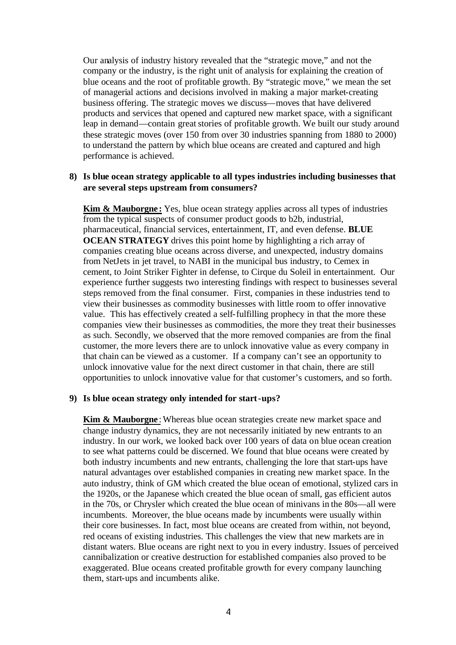Our analysis of industry history revealed that the "strategic move," and not the company or the industry, is the right unit of analysis for explaining the creation of blue oceans and the root of profitable growth. By "strategic move," we mean the set of managerial actions and decisions involved in making a major market-creating business offering. The strategic moves we discuss—moves that have delivered products and services that opened and captured new market space, with a significant leap in demand—contain great stories of profitable growth. We built our study around these strategic moves (over 150 from over 30 industries spanning from 1880 to 2000) to understand the pattern by which blue oceans are created and captured and high performance is achieved.

### **8) Is blue ocean strategy applicable to all types industries including businesses that are several steps upstream from consumers?**

**Kim & Mauborgne:** Yes, blue ocean strategy applies across all types of industries from the typical suspects of consumer product goods to b2b, industrial, pharmaceutical, financial services, entertainment, IT, and even defense. **BLUE OCEAN STRATEGY** drives this point home by highlighting a rich array of companies creating blue oceans across diverse, and unexpected, industry domains from NetJets in jet travel, to NABI in the municipal bus industry, to Cemex in cement, to Joint Striker Fighter in defense, to Cirque du Soleil in entertainment. Our experience further suggests two interesting findings with respect to businesses several steps removed from the final consumer. First, companies in these industries tend to view their businesses as commodity businesses with little room to offer innovative value. This has effectively created a self-fulfilling prophecy in that the more these companies view their businesses as commodities, the more they treat their businesses as such. Secondly, we observed that the more removed companies are from the final customer, the more levers there are to unlock innovative value as every company in that chain can be viewed as a customer. If a company can't see an opportunity to unlock innovative value for the next direct customer in that chain, there are still opportunities to unlock innovative value for that customer's customers, and so forth.

# **9) Is blue ocean strategy only intended for start-ups?**

**Kim & Mauborgne**: Whereas blue ocean strategies create new market space and change industry dynamics, they are not necessarily initiated by new entrants to an industry. In our work, we looked back over 100 years of data on blue ocean creation to see what patterns could be discerned. We found that blue oceans were created by both industry incumbents and new entrants, challenging the lore that start-ups have natural advantages over established companies in creating new market space. In the auto industry, think of GM which created the blue ocean of emotional, stylized cars in the 1920s, or the Japanese which created the blue ocean of small, gas efficient autos in the 70s, or Chrysler which created the blue ocean of minivans in the 80s—all were incumbents. Moreover, the blue oceans made by incumbents were usually within their core businesses. In fact, most blue oceans are created from within, not beyond, red oceans of existing industries. This challenges the view that new markets are in distant waters. Blue oceans are right next to you in every industry. Issues of perceived cannibalization or creative destruction for established companies also proved to be exaggerated. Blue oceans created profitable growth for every company launching them, start-ups and incumbents alike.